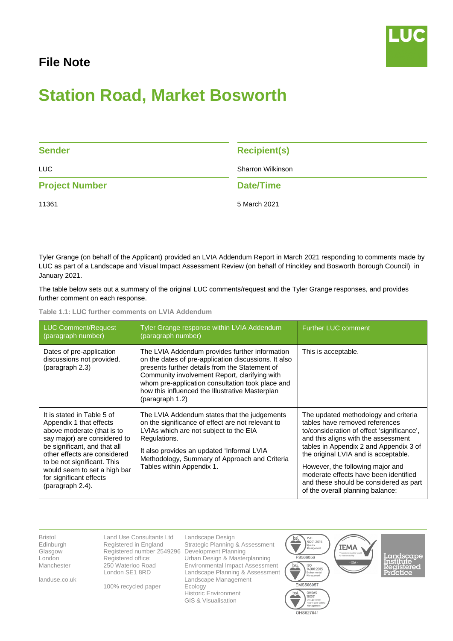## **File Note**



## **Station Road, Market Bosworth**

| <b>Sender</b>         | <b>Recipient(s)</b> |
|-----------------------|---------------------|
| <b>LUC</b>            | Sharron Wilkinson   |
| <b>Project Number</b> | <b>Date/Time</b>    |
| 11361                 | 5 March 2021        |

Tyler Grange (on behalf of the Applicant) provided an LVIA Addendum Report in March 2021 responding to comments made by LUC as part of a Landscape and Visual Impact Assessment Review (on behalf of Hinckley and Bosworth Borough Council) in January 2021.

The table below sets out a summary of the original LUC comments/request and the Tyler Grange responses, and provides further comment on each response.

**Table 1.1: LUC further comments on LVIA Addendum**

| <b>LUC Comment/Request</b><br>(paragraph number)                                                                                                                                                                                                                                                  | Tyler Grange response within LVIA Addendum<br>(paragraph number)                                                                                                                                                                                                                                                                    | <b>Further LUC comment</b>                                                                                                                                                                                                                                                                                                                                                                               |
|---------------------------------------------------------------------------------------------------------------------------------------------------------------------------------------------------------------------------------------------------------------------------------------------------|-------------------------------------------------------------------------------------------------------------------------------------------------------------------------------------------------------------------------------------------------------------------------------------------------------------------------------------|----------------------------------------------------------------------------------------------------------------------------------------------------------------------------------------------------------------------------------------------------------------------------------------------------------------------------------------------------------------------------------------------------------|
| Dates of pre-application<br>discussions not provided.<br>(paragraph 2.3)                                                                                                                                                                                                                          | The LVIA Addendum provides further information<br>on the dates of pre-application discussions. It also<br>presents further details from the Statement of<br>Community involvement Report, clarifying with<br>whom pre-application consultation took place and<br>how this influenced the Illustrative Masterplan<br>(paragraph 1.2) | This is acceptable.                                                                                                                                                                                                                                                                                                                                                                                      |
| It is stated in Table 5 of<br>Appendix 1 that effects<br>above moderate (that is to<br>say major) are considered to<br>be significant, and that all<br>other effects are considered<br>to be not significant. This<br>would seem to set a high bar<br>for significant effects<br>(paragraph 2.4). | The LVIA Addendum states that the judgements<br>on the significance of effect are not relevant to<br>LVIAs which are not subject to the EIA<br>Regulations.<br>It also provides an updated 'Informal LVIA<br>Methodology, Summary of Approach and Criteria<br>Tables within Appendix 1.                                             | The updated methodology and criteria<br>tables have removed references<br>to/consideration of effect 'significance',<br>and this aligns with the assessment<br>tables in Appendix 2 and Appendix 3 of<br>the original LVIA and is acceptable.<br>However, the following major and<br>moderate effects have been identified<br>and these should be considered as part<br>of the overall planning balance: |

Bristol Edinburgh Glasgow London Manchester

landuse.co.uk

Land Use Consultants Ltd Registered in England Registered number 2549296 Development Planning Registered office: 250 Waterloo Road London SE1 8RD

100% recycled paper

Landscape Design Strategic Planning & Assessment Urban Design & Masterplanning Environmental Impact Assessment Landscape Planning & Assessment Landscape Management Ecology Historic Environment GIS & Visualisation

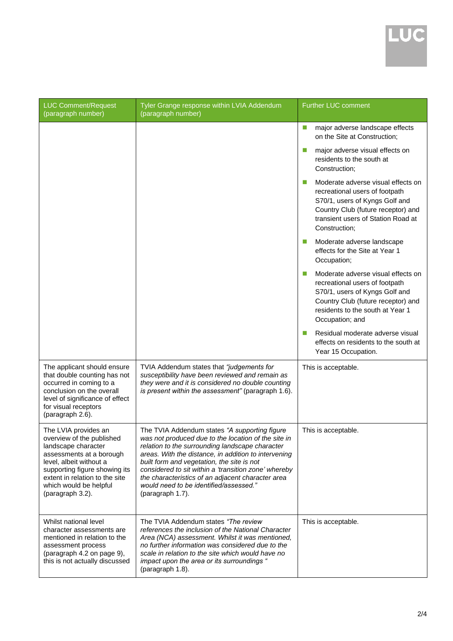

| <b>LUC Comment/Request</b><br>(paragraph number)                                                                                                                                                                                                 | Tyler Grange response within LVIA Addendum<br>(paragraph number)                                                                                                                                                                                                                                                                                                                                                                         | Further LUC comment                                                                                                                                                                                 |
|--------------------------------------------------------------------------------------------------------------------------------------------------------------------------------------------------------------------------------------------------|------------------------------------------------------------------------------------------------------------------------------------------------------------------------------------------------------------------------------------------------------------------------------------------------------------------------------------------------------------------------------------------------------------------------------------------|-----------------------------------------------------------------------------------------------------------------------------------------------------------------------------------------------------|
|                                                                                                                                                                                                                                                  |                                                                                                                                                                                                                                                                                                                                                                                                                                          | major adverse landscape effects<br>m,<br>on the Site at Construction;                                                                                                                               |
|                                                                                                                                                                                                                                                  |                                                                                                                                                                                                                                                                                                                                                                                                                                          | major adverse visual effects on<br>residents to the south at<br>Construction;                                                                                                                       |
|                                                                                                                                                                                                                                                  |                                                                                                                                                                                                                                                                                                                                                                                                                                          | Moderate adverse visual effects on<br>recreational users of footpath<br>S70/1, users of Kyngs Golf and<br>Country Club (future receptor) and<br>transient users of Station Road at<br>Construction: |
|                                                                                                                                                                                                                                                  |                                                                                                                                                                                                                                                                                                                                                                                                                                          | Moderate adverse landscape<br>effects for the Site at Year 1<br>Occupation;                                                                                                                         |
|                                                                                                                                                                                                                                                  |                                                                                                                                                                                                                                                                                                                                                                                                                                          | Moderate adverse visual effects on<br>recreational users of footpath<br>S70/1, users of Kyngs Golf and<br>Country Club (future receptor) and<br>residents to the south at Year 1<br>Occupation; and |
|                                                                                                                                                                                                                                                  |                                                                                                                                                                                                                                                                                                                                                                                                                                          | Residual moderate adverse visual<br>effects on residents to the south at<br>Year 15 Occupation.                                                                                                     |
| The applicant should ensure<br>that double counting has not<br>occurred in coming to a<br>conclusion on the overall<br>level of significance of effect<br>for visual receptors<br>(paragraph 2.6).                                               | TVIA Addendum states that "judgements for<br>susceptibility have been reviewed and remain as<br>they were and it is considered no double counting<br>is present within the assessment" (paragraph 1.6).                                                                                                                                                                                                                                  | This is acceptable.                                                                                                                                                                                 |
| The LVIA provides an<br>overview of the published<br>landscape character<br>assessments at a borough<br>level, albeit without a<br>supporting figure showing its<br>extent in relation to the site<br>which would be helpful<br>(paragraph 3.2). | The TVIA Addendum states "A supporting figure<br>was not produced due to the location of the site in<br>relation to the surrounding landscape character<br>areas. With the distance, in addition to intervening<br>built form and vegetation, the site is not<br>considered to sit within a 'transition zone' whereby<br>the characteristics of an adjacent character area<br>would need to be identified/assessed."<br>(paragraph 1.7). | This is acceptable.                                                                                                                                                                                 |
| Whilst national level<br>character assessments are<br>mentioned in relation to the<br>assessment process<br>(paragraph 4.2 on page 9),<br>this is not actually discussed                                                                         | The TVIA Addendum states "The review"<br>references the inclusion of the National Character<br>Area (NCA) assessment. Whilst it was mentioned,<br>no further information was considered due to the<br>scale in relation to the site which would have no<br>impact upon the area or its surroundings "<br>(paragraph 1.8).                                                                                                                | This is acceptable.                                                                                                                                                                                 |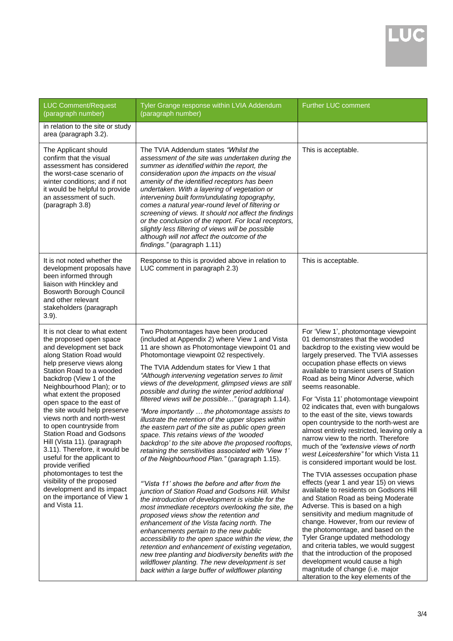| <b>LUC Comment/Request</b><br>(paragraph number)                                                                                                                                                                                                                                                                                                                                                                                                                                                                                                                                                                                                                                      | Tyler Grange response within LVIA Addendum<br>(paragraph number)                                                                                                                                                                                                                                                                                                                                                                                                                                                                                                                                                                                                                                                                                                                                                                                                                                                                                                                                                                                                                                                                                                                                                                                                                                                                                                                                                                                              | <b>Further LUC comment</b>                                                                                                                                                                                                                                                                                                                                                                                                                                                                                                                                                                                                                                                                                                                                                                                                                                                                                                                                                                                                                                                                                                                                                                                                                                 |
|---------------------------------------------------------------------------------------------------------------------------------------------------------------------------------------------------------------------------------------------------------------------------------------------------------------------------------------------------------------------------------------------------------------------------------------------------------------------------------------------------------------------------------------------------------------------------------------------------------------------------------------------------------------------------------------|---------------------------------------------------------------------------------------------------------------------------------------------------------------------------------------------------------------------------------------------------------------------------------------------------------------------------------------------------------------------------------------------------------------------------------------------------------------------------------------------------------------------------------------------------------------------------------------------------------------------------------------------------------------------------------------------------------------------------------------------------------------------------------------------------------------------------------------------------------------------------------------------------------------------------------------------------------------------------------------------------------------------------------------------------------------------------------------------------------------------------------------------------------------------------------------------------------------------------------------------------------------------------------------------------------------------------------------------------------------------------------------------------------------------------------------------------------------|------------------------------------------------------------------------------------------------------------------------------------------------------------------------------------------------------------------------------------------------------------------------------------------------------------------------------------------------------------------------------------------------------------------------------------------------------------------------------------------------------------------------------------------------------------------------------------------------------------------------------------------------------------------------------------------------------------------------------------------------------------------------------------------------------------------------------------------------------------------------------------------------------------------------------------------------------------------------------------------------------------------------------------------------------------------------------------------------------------------------------------------------------------------------------------------------------------------------------------------------------------|
| in relation to the site or study<br>area (paragraph 3.2).                                                                                                                                                                                                                                                                                                                                                                                                                                                                                                                                                                                                                             |                                                                                                                                                                                                                                                                                                                                                                                                                                                                                                                                                                                                                                                                                                                                                                                                                                                                                                                                                                                                                                                                                                                                                                                                                                                                                                                                                                                                                                                               |                                                                                                                                                                                                                                                                                                                                                                                                                                                                                                                                                                                                                                                                                                                                                                                                                                                                                                                                                                                                                                                                                                                                                                                                                                                            |
| The Applicant should<br>confirm that the visual<br>assessment has considered<br>the worst-case scenario of<br>winter conditions; and if not<br>it would be helpful to provide<br>an assessment of such.<br>(paragraph 3.8)                                                                                                                                                                                                                                                                                                                                                                                                                                                            | The TVIA Addendum states "Whilst the<br>assessment of the site was undertaken during the<br>summer as identified within the report, the<br>consideration upon the impacts on the visual<br>amenity of the identified receptors has been<br>undertaken. With a layering of vegetation or<br>intervening built form/undulating topography,<br>comes a natural year-round level of filtering or<br>screening of views. It should not affect the findings<br>or the conclusion of the report. For local receptors,<br>slightly less filtering of views will be possible<br>although will not affect the outcome of the<br>findings." (paragraph 1.11)                                                                                                                                                                                                                                                                                                                                                                                                                                                                                                                                                                                                                                                                                                                                                                                                             | This is acceptable.                                                                                                                                                                                                                                                                                                                                                                                                                                                                                                                                                                                                                                                                                                                                                                                                                                                                                                                                                                                                                                                                                                                                                                                                                                        |
| It is not noted whether the<br>development proposals have<br>been informed through<br>liaison with Hinckley and<br>Bosworth Borough Council<br>and other relevant<br>stakeholders (paragraph<br>$3.9$ ).                                                                                                                                                                                                                                                                                                                                                                                                                                                                              | Response to this is provided above in relation to<br>LUC comment in paragraph 2.3)                                                                                                                                                                                                                                                                                                                                                                                                                                                                                                                                                                                                                                                                                                                                                                                                                                                                                                                                                                                                                                                                                                                                                                                                                                                                                                                                                                            | This is acceptable.                                                                                                                                                                                                                                                                                                                                                                                                                                                                                                                                                                                                                                                                                                                                                                                                                                                                                                                                                                                                                                                                                                                                                                                                                                        |
| It is not clear to what extent<br>the proposed open space<br>and development set back<br>along Station Road would<br>help preserve views along<br>Station Road to a wooded<br>backdrop (View 1 of the<br>Neighbourhood Plan); or to<br>what extent the proposed<br>open space to the east of<br>the site would help preserve<br>views north and north-west<br>to open countryside from<br><b>Station Road and Godsons</b><br>Hill (Vista 11). (paragraph<br>3.11). Therefore, it would be<br>useful for the applicant to<br>provide verified<br>photomontages to test the<br>visibility of the proposed<br>development and its impact<br>on the importance of View 1<br>and Vista 11. | Two Photomontages have been produced<br>(included at Appendix 2) where View 1 and Vista<br>11 are shown as Photomontage viewpoint 01 and<br>Photomontage viewpoint 02 respectively.<br>The TVIA Addendum states for View 1 that<br>"Although intervening vegetation serves to limit<br>views of the development, glimpsed views are still<br>possible and during the winter period additional<br>filtered views will be possible" (paragraph 1.14).<br>"More importantly  the photomontage assists to<br>illustrate the retention of the upper slopes within<br>the eastern part of the site as public open green<br>space. This retains views of the 'wooded<br>backdrop' to the site above the proposed rooftops,<br>retaining the sensitivities associated with 'View 1'<br>of the Neighbourhood Plan." (paragraph 1.15).<br>"Vista 11' shows the before and after from the<br>junction of Station Road and Godsons Hill. Whilst<br>the introduction of development is visible for the<br>most immediate receptors overlooking the site, the<br>proposed views show the retention and<br>enhancement of the Vista facing north. The<br>enhancements pertain to the new public<br>accessibility to the open space within the view, the<br>retention and enhancement of existing vegetation,<br>new tree planting and biodiversity benefits with the<br>wildflower planting. The new development is set<br>back within a large buffer of wildflower planting | For 'View 1', photomontage viewpoint<br>01 demonstrates that the wooded<br>backdrop to the existing view would be<br>largely preserved. The TVIA assesses<br>occupation phase effects on views<br>available to transient users of Station<br>Road as being Minor Adverse, which<br>seems reasonable.<br>For 'Vista 11' photomontage viewpoint<br>02 indicates that, even with bungalows<br>to the east of the site, views towards<br>open countryside to the north-west are<br>almost entirely restricted, leaving only a<br>narrow view to the north. Therefore<br>much of the "extensive views of north"<br>west Leicestershire" for which Vista 11<br>is considered important would be lost.<br>The TVIA assesses occupation phase<br>effects (year 1 and year 15) on views<br>available to residents on Godsons Hill<br>and Station Road as being Moderate<br>Adverse. This is based on a high<br>sensitivity and medium magnitude of<br>change. However, from our review of<br>the photomontage, and based on the<br>Tyler Grange updated methodology<br>and criteria tables, we would suggest<br>that the introduction of the proposed<br>development would cause a high<br>magnitude of change (i.e. major<br>alteration to the key elements of the |